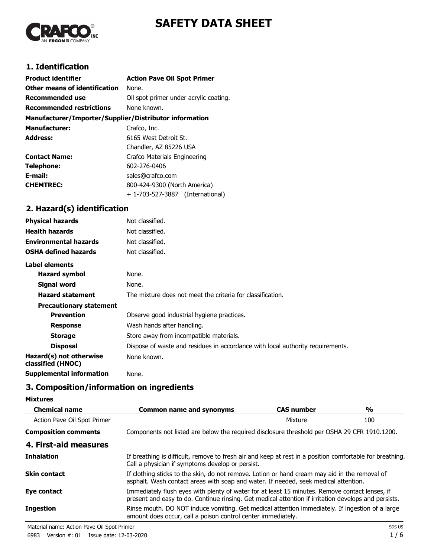



# **1. Identification**

| <b>Product identifier</b>                              | <b>Action Pave Oil Spot Primer</b>     |
|--------------------------------------------------------|----------------------------------------|
| Other means of identification                          | None.                                  |
| <b>Recommended use</b>                                 | Oil spot primer under acrylic coating. |
| <b>Recommended restrictions</b>                        | None known.                            |
| Manufacturer/Importer/Supplier/Distributor information |                                        |
| <b>Manufacturer:</b>                                   | Crafco, Inc.                           |
| <b>Address:</b>                                        | 6165 West Detroit St.                  |
|                                                        | Chandler, AZ 85226 USA                 |
| <b>Contact Name:</b>                                   | Crafco Materials Engineering           |
| Telephone:                                             | 602-276-0406                           |
| E-mail:                                                | sales@crafco.com                       |
| <b>CHEMTREC:</b>                                       | 800-424-9300 (North America)           |
|                                                        | + 1-703-527-3887<br>(International)    |

# **2. Hazard(s) identification**

| <b>Physical hazards</b>                      | Not classified.                                                                |
|----------------------------------------------|--------------------------------------------------------------------------------|
| <b>Health hazards</b>                        | Not classified.                                                                |
| <b>Environmental hazards</b>                 | Not classified.                                                                |
| <b>OSHA defined hazards</b>                  | Not classified.                                                                |
| Label elements                               |                                                                                |
| <b>Hazard symbol</b>                         | None.                                                                          |
| Signal word                                  | None.                                                                          |
| <b>Hazard statement</b>                      | The mixture does not meet the criteria for classification.                     |
| <b>Precautionary statement</b>               |                                                                                |
| <b>Prevention</b>                            | Observe good industrial hygiene practices.                                     |
| <b>Response</b>                              | Wash hands after handling.                                                     |
| <b>Storage</b>                               | Store away from incompatible materials.                                        |
| <b>Disposal</b>                              | Dispose of waste and residues in accordance with local authority requirements. |
| Hazard(s) not otherwise<br>classified (HNOC) | None known.                                                                    |
| <b>Supplemental information</b>              | None.                                                                          |

# **3. Composition/information on ingredients**

**Mixtures**

| <b>Chemical name</b>        | <b>Common name and synonyms</b>                                                                                                                                                                        | <b>CAS number</b> | %   |
|-----------------------------|--------------------------------------------------------------------------------------------------------------------------------------------------------------------------------------------------------|-------------------|-----|
| Action Pave Oil Spot Primer |                                                                                                                                                                                                        | Mixture           | 100 |
| <b>Composition comments</b> | Components not listed are below the required disclosure threshold per OSHA 29 CFR 1910.1200.                                                                                                           |                   |     |
| 4. First-aid measures       |                                                                                                                                                                                                        |                   |     |
| <b>Inhalation</b>           | If breathing is difficult, remove to fresh air and keep at rest in a position comfortable for breathing.<br>Call a physician if symptoms develop or persist.                                           |                   |     |
| <b>Skin contact</b>         | If clothing sticks to the skin, do not remove. Lotion or hand cream may aid in the removal of<br>asphalt. Wash contact areas with soap and water. If needed, seek medical attention.                   |                   |     |
| Eye contact                 | Immediately flush eyes with plenty of water for at least 15 minutes. Remove contact lenses, if<br>present and easy to do. Continue rinsing. Get medical attention if irritation develops and persists. |                   |     |
| <b>Ingestion</b>            | Rinse mouth. DO NOT induce vomiting. Get medical attention immediately. If ingestion of a large<br>amount does occur, call a poison control center immediately.                                        |                   |     |

Material name: Action Pave Oil Spot Primer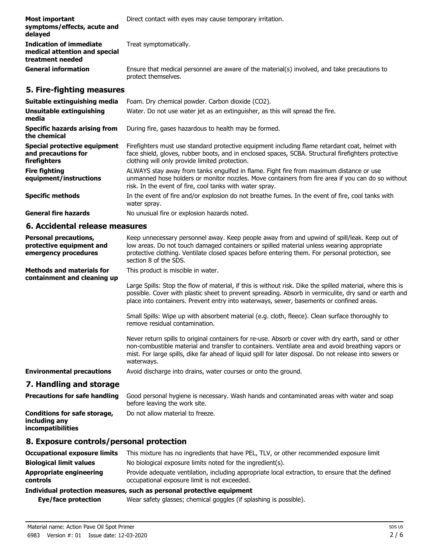| Most important<br>symptoms/effects, acute and<br>delayed                     | Direct contact with eyes may cause temporary irritation.                                                            |  |
|------------------------------------------------------------------------------|---------------------------------------------------------------------------------------------------------------------|--|
| Indication of immediate<br>medical attention and special<br>treatment needed | Treat symptomatically.                                                                                              |  |
| <b>General information</b>                                                   | Ensure that medical personnel are aware of the material(s) involved, and take precautions to<br>protect themselves. |  |

# **5. Fire-fighting measures**

| Suitable extinguishing media                                        | Foam. Dry chemical powder. Carbon dioxide (CO2).                                                                                                                                                                                                         |
|---------------------------------------------------------------------|----------------------------------------------------------------------------------------------------------------------------------------------------------------------------------------------------------------------------------------------------------|
| Unsuitable extinguishing<br>media                                   | Water. Do not use water jet as an extinguisher, as this will spread the fire.                                                                                                                                                                            |
| <b>Specific hazards arising from</b><br>the chemical                | During fire, gases hazardous to health may be formed.                                                                                                                                                                                                    |
| Special protective equipment<br>and precautions for<br>firefighters | Firefighters must use standard protective equipment including flame retardant coat, helmet with<br>face shield, gloves, rubber boots, and in enclosed spaces, SCBA. Structural firefighters protective<br>clothing will only provide limited protection. |
| <b>Fire fighting</b><br>equipment/instructions                      | ALWAYS stay away from tanks engulfed in flame. Fight fire from maximum distance or use<br>unmanned hose holders or monitor nozzles. Move containers from fire area if you can do so without<br>risk. In the event of fire, cool tanks with water spray.  |
| <b>Specific methods</b>                                             | In the event of fire and/or explosion do not breathe fumes. In the event of fire, cool tanks with<br>water spray.                                                                                                                                        |
| <b>General fire hazards</b>                                         | No unusual fire or explosion hazards noted.                                                                                                                                                                                                              |

### **6. Accidental release measures**

| <b>Personal precautions,</b><br>protective equipment and<br>emergency procedures | Keep unnecessary personnel away. Keep people away from and upwind of spill/leak. Keep out of<br>low areas. Do not touch damaged containers or spilled material unless wearing appropriate<br>protective clothing. Ventilate closed spaces before entering them. For personal protection, see<br>section 8 of the SDS.               |
|----------------------------------------------------------------------------------|-------------------------------------------------------------------------------------------------------------------------------------------------------------------------------------------------------------------------------------------------------------------------------------------------------------------------------------|
| <b>Methods and materials for</b><br>containment and cleaning up                  | This product is miscible in water.                                                                                                                                                                                                                                                                                                  |
|                                                                                  | Large Spills: Stop the flow of material, if this is without risk. Dike the spilled material, where this is<br>possible. Cover with plastic sheet to prevent spreading. Absorb in vermiculite, dry sand or earth and<br>place into containers. Prevent entry into waterways, sewer, basements or confined areas.                     |
|                                                                                  | Small Spills: Wipe up with absorbent material (e.g. cloth, fleece). Clean surface thoroughly to<br>remove residual contamination.                                                                                                                                                                                                   |
|                                                                                  | Never return spills to original containers for re-use. Absorb or cover with dry earth, sand or other<br>non-combustible material and transfer to containers. Ventilate area and avoid breathing vapors or<br>mist. For large spills, dike far ahead of liquid spill for later disposal. Do not release into sewers or<br>waterways. |
| <b>Environmental precautions</b>                                                 | Avoid discharge into drains, water courses or onto the ground.                                                                                                                                                                                                                                                                      |
| 7. Handling and storage                                                          |                                                                                                                                                                                                                                                                                                                                     |

| <b>Precautions for safe handling</b>                               | Good personal hygiene is necessary. Wash hands and contaminated areas with water and soap<br>before leaving the work site. |
|--------------------------------------------------------------------|----------------------------------------------------------------------------------------------------------------------------|
| Conditions for safe storage,<br>including any<br>incompatibilities | Do not allow material to freeze.                                                                                           |

### **8. Exposure controls/personal protection**

| <b>Occupational exposure limits</b>                                   | This mixture has no ingredients that have PEL, TLV, or other recommended exposure limit                                                          |
|-----------------------------------------------------------------------|--------------------------------------------------------------------------------------------------------------------------------------------------|
| <b>Biological limit values</b>                                        | No biological exposure limits noted for the ingredient(s).                                                                                       |
| Appropriate engineering<br>controls                                   | Provide adequate ventilation, including appropriate local extraction, to ensure that the defined<br>occupational exposure limit is not exceeded. |
| Individual protection measures, such as personal protective equipment |                                                                                                                                                  |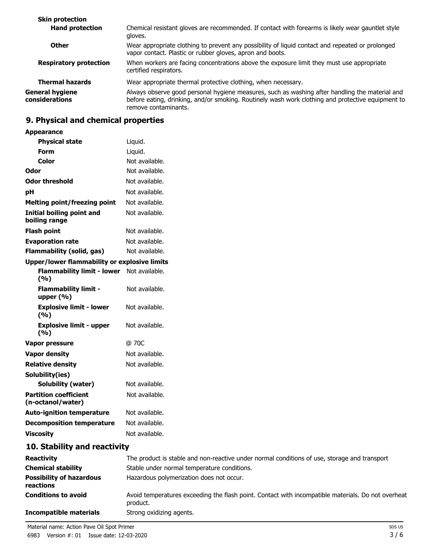| Chemical resistant gloves are recommended. If contact with forearms is likely wear gauntlet style<br>gloves.                                                                                                                |
|-----------------------------------------------------------------------------------------------------------------------------------------------------------------------------------------------------------------------------|
| Wear appropriate clothing to prevent any possibility of liquid contact and repeated or prolonged<br>vapor contact. Plastic or rubber gloves, apron and boots.                                                               |
| When workers are facing concentrations above the exposure limit they must use appropriate<br>certified respirators.                                                                                                         |
| Wear appropriate thermal protective clothing, when necessary.                                                                                                                                                               |
| Always observe good personal hygiene measures, such as washing after handling the material and<br>before eating, drinking, and/or smoking. Routinely wash work clothing and protective equipment to<br>remove contaminants. |
|                                                                                                                                                                                                                             |

# **9. Physical and chemical properties**

**Appearance**

| <b>Physical state</b>                               | Liquid.        |
|-----------------------------------------------------|----------------|
| Form                                                | Liquid.        |
| Color                                               | Not available. |
| Odor                                                | Not available. |
| <b>Odor threshold</b>                               | Not available. |
| рH                                                  | Not available. |
| <b>Melting point/freezing point</b>                 | Not available. |
| <b>Initial boiling point and</b><br>boiling range   | Not available. |
| <b>Flash point</b>                                  | Not available. |
| <b>Evaporation rate</b>                             | Not available. |
| <b>Flammability (solid, gas)</b>                    | Not available. |
| <b>Upper/lower flammability or explosive limits</b> |                |
| <b>Flammability limit - lower</b><br>(%)            | Not available. |
| <b>Flammability limit -</b><br>upper $(% )$         | Not available. |
| <b>Explosive limit - lower</b><br>(%)               | Not available. |
| <b>Explosive limit - upper</b><br>(9/6)             | Not available. |
| <b>Vapor pressure</b>                               | @ 70C          |
| <b>Vapor density</b>                                | Not available. |
| <b>Relative density</b>                             | Not available. |
| Solubility(ies)                                     |                |
| <b>Solubility (water)</b>                           | Not available. |
| <b>Partition coefficient</b><br>(n-octanol/water)   | Not available. |
| <b>Auto-ignition temperature</b>                    | Not available. |
| <b>Decomposition temperature</b>                    | Not available. |
| <b>Viscosity</b>                                    | Not available. |

# **10. Stability and reactivity**

| <b>Reactivity</b>                            | The product is stable and non-reactive under normal conditions of use, storage and transport                   |
|----------------------------------------------|----------------------------------------------------------------------------------------------------------------|
| <b>Chemical stability</b>                    | Stable under normal temperature conditions.                                                                    |
| <b>Possibility of hazardous</b><br>reactions | Hazardous polymerization does not occur.                                                                       |
| <b>Conditions to avoid</b>                   | Avoid temperatures exceeding the flash point. Contact with incompatible materials. Do not overheat<br>product. |
| <b>Incompatible materials</b>                | Strong oxidizing agents.                                                                                       |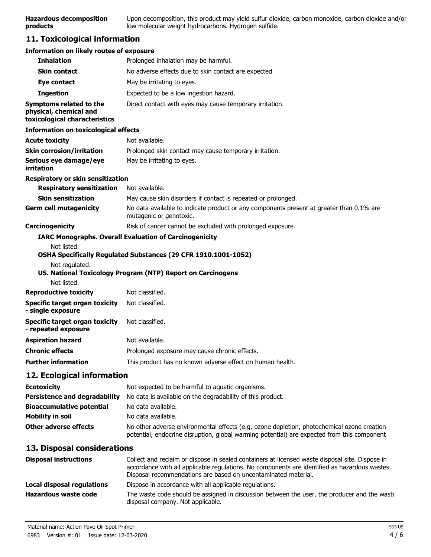### **11. Toxicological information**

| <b>Information on likely routes of exposure</b>                                    |                                                                                                                                                                                                                                                                    |
|------------------------------------------------------------------------------------|--------------------------------------------------------------------------------------------------------------------------------------------------------------------------------------------------------------------------------------------------------------------|
| <b>Inhalation</b>                                                                  | Prolonged inhalation may be harmful.                                                                                                                                                                                                                               |
| <b>Skin contact</b>                                                                | No adverse effects due to skin contact are expected.                                                                                                                                                                                                               |
| Eye contact                                                                        | May be irritating to eyes.                                                                                                                                                                                                                                         |
| <b>Ingestion</b>                                                                   | Expected to be a low ingestion hazard.                                                                                                                                                                                                                             |
| Symptoms related to the<br>physical, chemical and<br>toxicological characteristics | Direct contact with eyes may cause temporary irritation.                                                                                                                                                                                                           |
| <b>Information on toxicological effects</b>                                        |                                                                                                                                                                                                                                                                    |
| <b>Acute toxicity</b>                                                              | Not available.                                                                                                                                                                                                                                                     |
| <b>Skin corrosion/irritation</b>                                                   | Prolonged skin contact may cause temporary irritation.                                                                                                                                                                                                             |
| Serious eye damage/eye<br>irritation                                               | May be irritating to eyes.                                                                                                                                                                                                                                         |
| Respiratory or skin sensitization                                                  |                                                                                                                                                                                                                                                                    |
| <b>Respiratory sensitization</b>                                                   | Not available.                                                                                                                                                                                                                                                     |
| <b>Skin sensitization</b>                                                          | May cause skin disorders if contact is repeated or prolonged.                                                                                                                                                                                                      |
| <b>Germ cell mutagenicity</b>                                                      | No data available to indicate product or any components present at greater than 0.1% are<br>mutagenic or genotoxic.                                                                                                                                                |
| Carcinogenicity                                                                    | Risk of cancer cannot be excluded with prolonged exposure.                                                                                                                                                                                                         |
| Not listed.<br>Not regulated.<br>Not listed.                                       | <b>IARC Monographs. Overall Evaluation of Carcinogenicity</b><br>OSHA Specifically Regulated Substances (29 CFR 1910.1001-1052)<br>US. National Toxicology Program (NTP) Report on Carcinogens                                                                     |
| <b>Reproductive toxicity</b>                                                       | Not classified.                                                                                                                                                                                                                                                    |
| <b>Specific target organ toxicity</b><br>- single exposure                         | Not classified.                                                                                                                                                                                                                                                    |
| <b>Specific target organ toxicity</b><br>- repeated exposure                       | Not classified.                                                                                                                                                                                                                                                    |
| <b>Aspiration hazard</b>                                                           | Not available.                                                                                                                                                                                                                                                     |
| <b>Chronic effects</b>                                                             | Prolonged exposure may cause chronic effects.                                                                                                                                                                                                                      |
| Further information                                                                | This product has no known adverse effect on human health.                                                                                                                                                                                                          |
| 12. Ecological information                                                         |                                                                                                                                                                                                                                                                    |
| <b>Ecotoxicity</b>                                                                 | Not expected to be harmful to aquatic organisms.                                                                                                                                                                                                                   |
| <b>Persistence and degradability</b>                                               | No data is available on the degradability of this product.                                                                                                                                                                                                         |
| <b>Bioaccumulative potential</b>                                                   | No data available.                                                                                                                                                                                                                                                 |
| <b>Mobility in soil</b>                                                            | No data available.                                                                                                                                                                                                                                                 |
| <b>Other adverse effects</b>                                                       | No other adverse environmental effects (e.g. ozone depletion, photochemical ozone creation<br>potential, endocrine disruption, global warming potential) are expected from this component                                                                          |
| 13. Disposal considerations                                                        |                                                                                                                                                                                                                                                                    |
| <b>Disposal instructions</b>                                                       | Collect and reclaim or dispose in sealed containers at licensed waste disposal site. Dispose in<br>accordance with all applicable regulations. No components are identified as hazardous wastes.<br>Disposal recommendations are based on uncontaminated material. |
| <b>Local disposal regulations</b>                                                  | Dispose in accordance with all applicable regulations.                                                                                                                                                                                                             |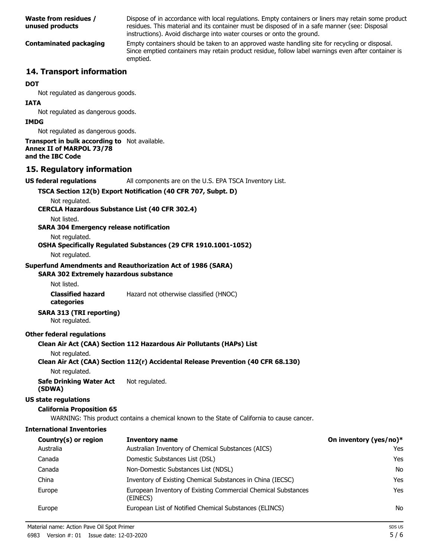| <b>Waste from residues /</b><br>unused products | Dispose of in accordance with local regulations. Empty containers or liners may retain some product<br>residues. This material and its container must be disposed of in a safe manner (see: Disposal<br>instructions). Avoid discharge into water courses or onto the ground. |
|-------------------------------------------------|-------------------------------------------------------------------------------------------------------------------------------------------------------------------------------------------------------------------------------------------------------------------------------|
| <b>Contaminated packaging</b>                   | Empty containers should be taken to an approved waste handling site for recycling or disposal.<br>Since emptied containers may retain product residue, follow label warnings even after container is<br>emptied.                                                              |
| 14. Transport information                       |                                                                                                                                                                                                                                                                               |

#### **DOT**

Not regulated as dangerous goods.

#### **IATA**

Not regulated as dangerous goods.

#### **IMDG**

Not regulated as dangerous goods.

#### **Transport in bulk according to** Not available. **Annex II of MARPOL 73/78 and the IBC Code**

### **15. Regulatory information**

**US federal regulations** All components are on the U.S. EPA TSCA Inventory List.

#### **TSCA Section 12(b) Export Notification (40 CFR 707, Subpt. D)**

Not regulated.

**CERCLA Hazardous Substance List (40 CFR 302.4)**

Not listed.

**SARA 304 Emergency release notification**

Not regulated.

### **OSHA Specifically Regulated Substances (29 CFR 1910.1001-1052)**

Not regulated.

#### **Superfund Amendments and Reauthorization Act of 1986 (SARA)**

### **SARA 302 Extremely hazardous substance**

Not listed.

**Classified hazard** Hazard not otherwise classified (HNOC)

**categories**

# **SARA 313 (TRI reporting)**

Not regulated.

#### **Other federal regulations**

### **Clean Air Act (CAA) Section 112 Hazardous Air Pollutants (HAPs) List**

Not regulated.

#### **Clean Air Act (CAA) Section 112(r) Accidental Release Prevention (40 CFR 68.130)**

Not regulated.

**Safe Drinking Water Act** Not regulated. **(SDWA)**

#### **US state regulations**

#### **California Proposition 65**

WARNING: This product contains a chemical known to the State of California to cause cancer.

### **International Inventories**

| Country(s) or region | <b>Inventory name</b>                                                     | On inventory (yes/no)* |
|----------------------|---------------------------------------------------------------------------|------------------------|
| Australia            | Australian Inventory of Chemical Substances (AICS)                        | Yes                    |
| Canada               | Domestic Substances List (DSL)                                            | Yes                    |
| Canada               | Non-Domestic Substances List (NDSL)                                       | No                     |
| China                | Inventory of Existing Chemical Substances in China (IECSC)                | Yes                    |
| Europe               | European Inventory of Existing Commercial Chemical Substances<br>(EINECS) | Yes                    |
| Europe               | European List of Notified Chemical Substances (ELINCS)                    | No                     |